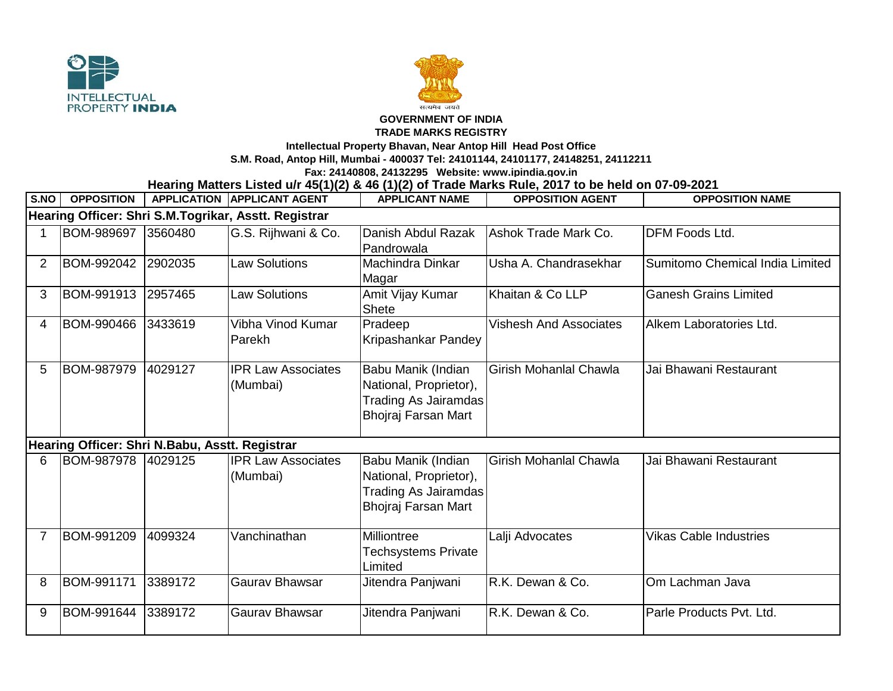



## **GOVERNMENT OF INDIA**

## **TRADE MARKS REGISTRY**

**Intellectual Property Bhavan, Near Antop Hill Head Post Office**

**S.M. Road, Antop Hill, Mumbai - 400037 Tel: 24101144, 24101177, 24148251, 24112211**

**Fax: 24140808, 24132295 Website: www.ipindia.gov.in**

**Hearing Matters Listed u/r 45(1)(2) & 46 (1)(2) of Trade Marks Rule, 2017 to be held on 07-09-2021** 

| S.NO                                                 | <b>OPPOSITION</b> |         | <b>APPLICATION APPLICANT AGENT</b>    | <b>APPLICANT NAME</b>                                                                              | <b>OPPOSITION AGENT</b>       | <b>OPPOSITION NAME</b>          |  |  |  |  |
|------------------------------------------------------|-------------------|---------|---------------------------------------|----------------------------------------------------------------------------------------------------|-------------------------------|---------------------------------|--|--|--|--|
| Hearing Officer: Shri S.M.Togrikar, Asstt. Registrar |                   |         |                                       |                                                                                                    |                               |                                 |  |  |  |  |
|                                                      | <b>BOM-989697</b> | 3560480 | G.S. Rijhwani & Co.                   | Danish Abdul Razak<br>Pandrowala                                                                   | Ashok Trade Mark Co.          | DFM Foods Ltd.                  |  |  |  |  |
| $\overline{2}$                                       | <b>BOM-992042</b> | 2902035 | <b>Law Solutions</b>                  | Machindra Dinkar<br>Magar                                                                          | Usha A. Chandrasekhar         | Sumitomo Chemical India Limited |  |  |  |  |
| 3                                                    | BOM-991913        | 2957465 | <b>Law Solutions</b>                  | Amit Vijay Kumar<br>Shete                                                                          | Khaitan & Co LLP              | <b>Ganesh Grains Limited</b>    |  |  |  |  |
| 4                                                    | BOM-990466        | 3433619 | Vibha Vinod Kumar<br>Parekh           | Pradeep<br>Kripashankar Pandey                                                                     | <b>Vishesh And Associates</b> | Alkem Laboratories Ltd.         |  |  |  |  |
| 5                                                    | <b>BOM-987979</b> | 4029127 | <b>IPR Law Associates</b><br>(Mumbai) | Babu Manik (Indian<br>National, Proprietor),<br><b>Trading As Jairamdas</b><br>Bhojraj Farsan Mart | <b>Girish Mohanlal Chawla</b> | Jai Bhawani Restaurant          |  |  |  |  |
| Hearing Officer: Shri N.Babu, Asstt. Registrar       |                   |         |                                       |                                                                                                    |                               |                                 |  |  |  |  |
| 6                                                    | <b>BOM-987978</b> | 4029125 | <b>IPR Law Associates</b><br>(Mumbai) | Babu Manik (Indian<br>National, Proprietor),<br><b>Trading As Jairamdas</b><br>Bhojraj Farsan Mart | Girish Mohanlal Chawla        | Jai Bhawani Restaurant          |  |  |  |  |
| 7                                                    | BOM-991209        | 4099324 | Vanchinathan                          | Milliontree<br>Techsystems Private<br>Limited                                                      | Lalji Advocates               | <b>Vikas Cable Industries</b>   |  |  |  |  |
| 8                                                    | BOM-991171        | 3389172 | Gaurav Bhawsar                        | Jitendra Panjwani                                                                                  | R.K. Dewan & Co.              | Om Lachman Java                 |  |  |  |  |
| 9                                                    | BOM-991644        | 3389172 | Gaurav Bhawsar                        | Jitendra Panjwani                                                                                  | R.K. Dewan & Co.              | Parle Products Pvt. Ltd.        |  |  |  |  |